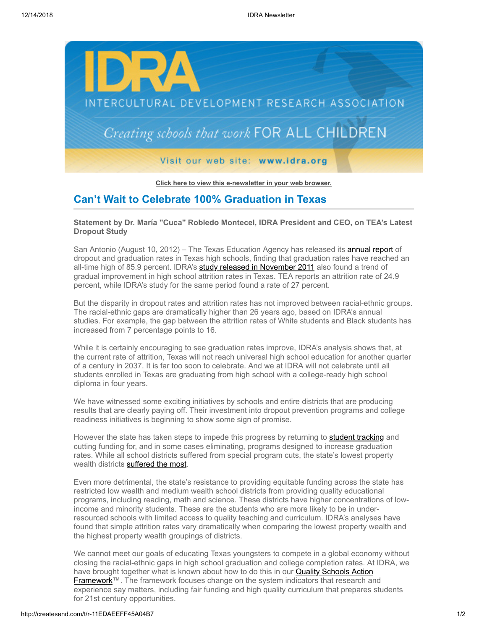

**[Click here to view this e-newsletter in your web browser.](http://newsletter.impulsedevelopment.com/t/r-e-hutttty-l-r/)**

## **Can't Wait to Celebrate 100% Graduation in Texas**

**Statement by Dr. María "Cuca" Robledo Montecel, IDRA President and CEO, on TEA's Latest Dropout Study**

San Antonio (August 10, 2012) – The Texas Education Agency has released its **annual report** of dropout and graduation rates in Texas high schools, finding that graduation rates have reached an all-time high of 85.9 percent. IDRA's **study released in November 2011** also found a trend of gradual improvement in high school attrition rates in Texas. TEA reports an attrition rate of 24.9 percent, while IDRA's study for the same period found a rate of 27 percent.

But the disparity in dropout rates and attrition rates has not improved between racial-ethnic groups. The racial-ethnic gaps are dramatically higher than 26 years ago, based on IDRA's annual studies. For example, the gap between the attrition rates of White students and Black students has increased from 7 percentage points to 16.

While it is certainly encouraging to see graduation rates improve, IDRA's analysis shows that, at the current rate of attrition, Texas will not reach universal high school education for another quarter of a century in 2037. It is far too soon to celebrate. And we at IDRA will not celebrate until all students enrolled in Texas are graduating from high school with a college-ready high school diploma in four years.

We have witnessed some exciting initiatives by schools and entire districts that are producing results that are clearly paying off. Their investment into dropout prevention programs and college readiness initiatives is beginning to show some sign of promise.

However the state has taken steps to impede this progress by returning to [student tracking](http://newsletter.impulsedevelopment.com/t/r-l-hutttty-l-o/) and cutting funding for, and in some cases eliminating, programs designed to increase graduation rates. While all school districts suffered from special program cuts, the state's lowest property wealth districts [suffered the most](http://newsletter.impulsedevelopment.com/t/r-l-hutttty-l-b/).

Even more detrimental, the state's resistance to providing equitable funding across the state has restricted low wealth and medium wealth school districts from providing quality educational programs, including reading, math and science. These districts have higher concentrations of lowincome and minority students. These are the students who are more likely to be in underresourced schools with limited access to quality teaching and curriculum. IDRA's analyses have found that simple attrition rates vary dramatically when comparing the lowest property wealth and the highest property wealth groupings of districts.

We cannot meet our goals of educating Texas youngsters to compete in a global economy without closing the racial-ethnic gaps in high school graduation and college completion rates. At IDRA, we have brought together what is known about how to do this in our **Quality Schools Action** Framework™. The framework focuses change on the system indicators that research and experience say matters, including fair funding and high quality curriculum that prepares students for 21st century opportunities.